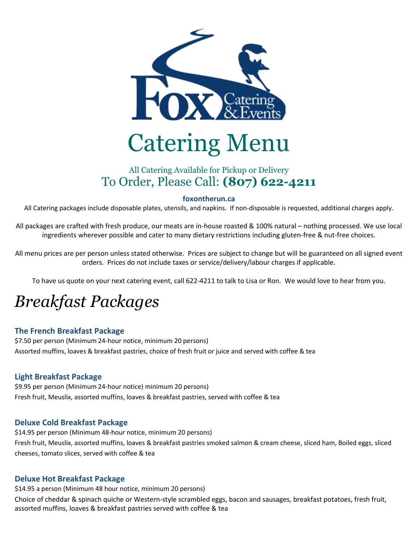

# All Catering Available for Pickup or Delivery To Order, Please Call: **(807) 622-4211**

#### **foxontherun.ca**

All Catering packages include disposable plates, utensils, and napkins. If non-disposable is requested, additional charges apply.

All packages are crafted with fresh produce, our meats are in-house roasted & 100% natural – nothing processed. We use local ingredients wherever possible and cater to many dietary restrictions including gluten-free & nut-free choices.

All menu prices are per person unless stated otherwise. Prices are subject to change but will be guaranteed on all signed event orders. Prices do not include taxes or service/delivery/labour charges if applicable.

To have us quote on your next catering event, call 622-4211 to talk to Lisa or Ron. We would love to hear from you.

# *Breakfast Packages*

### **The French Breakfast Package**

\$7.50 per person (Minimum 24-hour notice, minimum 20 persons) Assorted muffins, loaves & breakfast pastries, choice of fresh fruit or juice and served with coffee & tea

### **Light Breakfast Package**

\$9.95 per person (Minimum 24-hour notice) minimum 20 persons) Fresh fruit, Meuslix, assorted muffins, loaves & breakfast pastries, served with coffee & tea

### **Deluxe Cold Breakfast Package**

\$14.95 per person (Minimum 48-hour notice, minimum 20 persons) Fresh fruit, Meuslix, assorted muffins, loaves & breakfast pastries smoked salmon & cream cheese, sliced ham, Boiled eggs, sliced cheeses, tomato slices, served with coffee & tea

### **Deluxe Hot Breakfast Package**

\$14.95 a person (Minimum 48 hour notice, minimum 20 persons) Choice of cheddar & spinach quiche or Western-style scrambled eggs, bacon and sausages, breakfast potatoes, fresh fruit, assorted muffins, loaves & breakfast pastries served with coffee & tea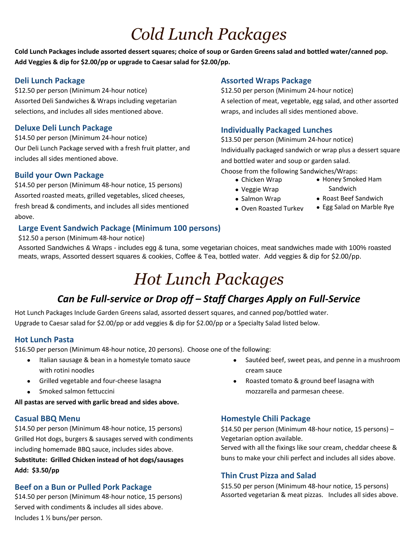# *Cold Lunch Packages*

**Cold Lunch Packages include assorted dessert squares; choice of soup or Garden Greens salad and bottled water/canned pop. Add Veggies & dip for \$2.00/pp or upgrade to Caesar salad for \$2.00/pp.**

### **Deli Lunch Package**

\$12.50 per person (Minimum 24-hour notice) Assorted Deli Sandwiches & Wraps including vegetarian selections, and includes all sides mentioned above.

### **Deluxe Deli Lunch Package**

\$14.50 per person (Minimum 24-hour notice) Our Deli Lunch Package served with a fresh fruit platter, and includes all sides mentioned above.

### **Build your Own Package**

\$14.50 per person (Minimum 48-hour notice, 15 persons) Assorted roasted meats, grilled vegetables, sliced cheeses, fresh bread & condiments, and includes all sides mentioned above.

# **Large Event Sandwich Package (Minimum 100 persons)**

### \$12.50 a person (Minimum 48-hour notice)

Assorted Sandwiches & Wraps - includes egg & tuna, some vegetarian choices, meat sandwiches made with 100% roasted meats, wraps, Assorted dessert squares & cookies, Coffee & Tea, bottled water. Add veggies & dip for \$2.00/pp.

# *Hot Lunch Packages*

# *Can be Full-service or Drop off – Staff Charges Apply on Full-Service*

Hot Lunch Packages Include Garden Greens salad, assorted dessert squares, and canned pop/bottled water. Upgrade to Caesar salad for \$2.00/pp or add veggies & dip for \$2.00/pp or a Specialty Salad listed below.

### **Hot Lunch Pasta**

\$16.50 per person (Minimum 48-hour notice, 20 persons). Choose one of the following:

- Italian sausage & bean in a homestyle tomato sauce with rotini noodles
- Grilled vegetable and four-cheese lasagna
- Smoked salmon fettuccini

**All pastas are served with garlic bread and sides above.**

### **Casual BBQ Menu**

\$14.50 per person (Minimum 48-hour notice, 15 persons) Grilled Hot dogs, burgers & sausages served with condiments including homemade BBQ sauce, includes sides above. **Substitute: Grilled Chicken instead of hot dogs/sausages Add: \$3.50/pp**

# **Beef on a Bun or Pulled Pork Package**

\$14.50 per person (Minimum 48-hour notice, 15 persons) Served with condiments & includes all sides above. Includes 1 ½ buns/per person.

### **Assorted Wraps Package**

\$12.50 per person (Minimum 24-hour notice) A selection of meat, vegetable, egg salad, and other assorted wraps, and includes all sides mentioned above.

### **Individually Packaged Lunches**

\$13.50 per person (Minimum 24-hour notice) Individually packaged sandwich or wrap plus a dessert square and bottled water and soup or garden salad.

Choose from the following Sandwiches/Wraps:

- Chicken Wrap
- Honey Smoked Ham
- Veggie Wrap
- **Sandwich** • Roast Beef Sandwich
- Salmon Wrap • Oven Roasted Turkey
- Egg Salad on Marble Rye
- 
- 

- Sautéed beef, sweet peas, and penne in a mushroom cream sauce
- Roasted tomato & ground beef lasagna with mozzarella and parmesan cheese.

# **Homestyle Chili Package**

\$14.50 per person (Minimum 48-hour notice, 15 persons) – Vegetarian option available.

Served with all the fixings like sour cream, cheddar cheese & buns to make your chili perfect and includes all sides above.

# **Thin Crust Pizza and Salad**

\$15.50 per person (Minimum 48-hour notice, 15 persons) Assorted vegetarian & meat pizzas. Includes all sides above.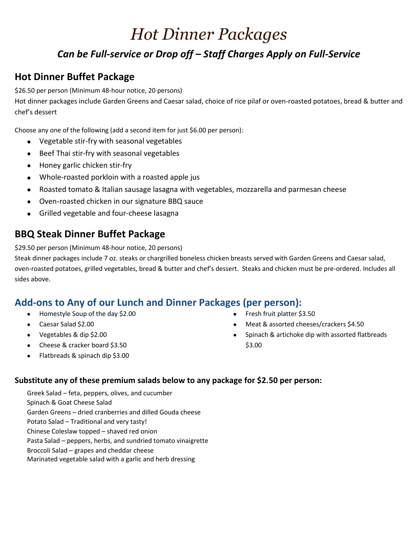# *Hot Dinner Packages*

# *Can be Full-service or Drop off – Staff Charges Apply on Full-Service*

# **Hot Dinner Buffet Package**

\$26.50 per person (Minimum 48-hour notice, 20 persons)

Hot dinner packages include Garden Greens and Caesar salad, choice of rice pilaf or oven-roasted potatoes, bread & butter and chef's dessert

Choose any one of the following (add a second item for just \$6.00 per person):

- Vegetable stir-fry with seasonal vegetables
- Beef Thai stir-fry with seasonal vegetables
- Honey garlic chicken stir-fry
- Whole-roasted porkloin with a roasted apple jus
- Roasted tomato & Italian sausage lasagna with vegetables, mozzarella and parmesan cheese
- Oven-roasted chicken in our signature BBQ sauce
- Grilled vegetable and four-cheese lasagna

# **BBQ Steak Dinner Buffet Package**

\$29.50 per person (Minimum 48-hour notice, 20 persons)

Steak dinner packages include 7 oz. steaks or chargrilled boneless chicken breasts served with Garden Greens and Caesar salad, oven-roasted potatoes, grilled vegetables, bread & butter and chef's dessert. Steaks and chicken must be pre-ordered. Includes all sides above.

# **Add-ons to Any of our Lunch and Dinner Packages (per person):**

- Homestyle Soup of the day \$2.00
- Caesar Salad \$2.00
- Vegetables & dip \$2.00
- Cheese & cracker board \$3.50
- Flatbreads & spinach dip \$3.00
- Fresh fruit platter \$3.50
- Meat & assorted cheeses/crackers \$4.50
- Spinach & artichoke dip with assorted flatbreads \$3.00

# **Substitute any of these premium salads below to any package for \$2.50 per person:**

Greek Salad – feta, peppers, olives, and cucumber Spinach & Goat Cheese Salad Garden Greens – dried cranberries and dilled Gouda cheese Potato Salad – Traditional and very tasty! Chinese Coleslaw topped – shaved red onion Pasta Salad – peppers, herbs, and sundried tomato vinaigrette Broccoli Salad – grapes and cheddar cheese Marinated vegetable salad with a garlic and herb dressing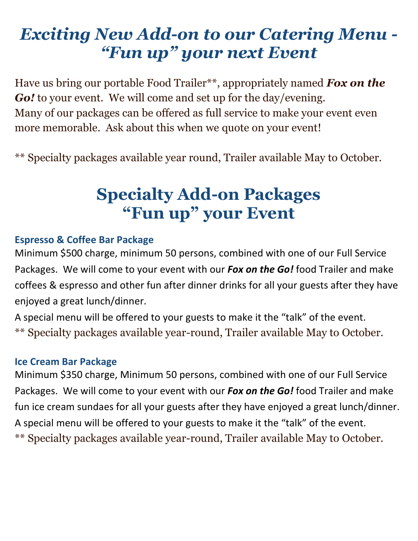# *Exciting New Add-on to our Catering Menu - "Fun up" your next Event*

Have us bring our portable Food Trailer\*\*, appropriately named *Fox on the Go!* to your event. We will come and set up for the day/evening. Many of our packages can be offered as full service to make your event even more memorable. Ask about this when we quote on your event!

\*\* Specialty packages available year round, Trailer available May to October.

# **Specialty Add-on Packages "Fun up" your Event**

# **Espresso & Coffee Bar Package**

Minimum \$500 charge, minimum 50 persons, combined with one of our Full Service Packages. We will come to your event with our *Fox on the Go!* food Trailer and make coffees & espresso and other fun after dinner drinks for all your guests after they have enjoyed a great lunch/dinner.

A special menu will be offered to your guests to make it the "talk" of the event. \*\* Specialty packages available year-round, Trailer available May to October.

# **Ice Cream Bar Package**

Minimum \$350 charge, Minimum 50 persons, combined with one of our Full Service Packages. We will come to your event with our *Fox on the Go!* food Trailer and make fun ice cream sundaes for all your guests after they have enjoyed a great lunch/dinner. A special menu will be offered to your guests to make it the "talk" of the event. \*\* Specialty packages available year-round, Trailer available May to October.